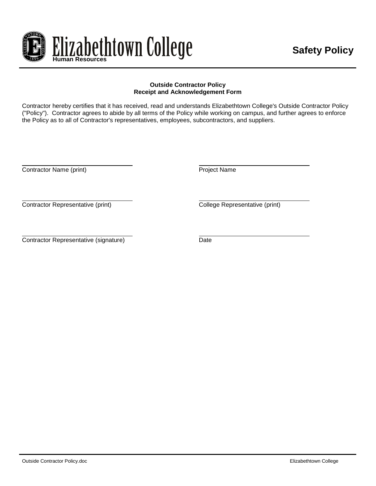

#### **Outside Contractor Policy Receipt and Acknowledgement Form**

Contractor hereby certifies that it has received, read and understands Elizabethtown College's Outside Contractor Policy ("Policy"). Contractor agrees to abide by all terms of the Policy while working on campus, and further agrees to enforce the Policy as to all of Contractor's representatives, employees, subcontractors, and suppliers.

Contractor Name (print) Contractor Name

Contractor Representative (print) Contractor Representative (print)

Contractor Representative (signature) Date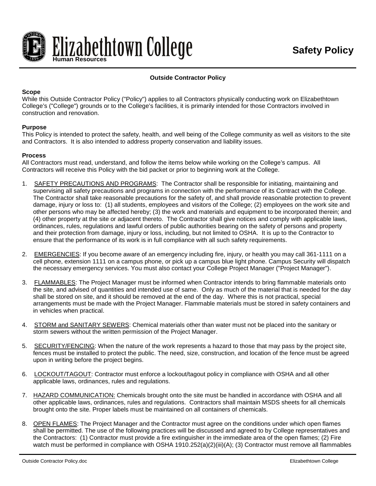

# **Outside Contractor Policy**

## **Scope**

While this Outside Contractor Policy ("Policy") applies to all Contractors physically conducting work on Elizabethtown College's ("College") grounds or to the College's facilities, it is primarily intended for those Contractors involved in construction and renovation.

## **Purpose**

This Policy is intended to protect the safety, health, and well being of the College community as well as visitors to the site and Contractors. It is also intended to address property conservation and liability issues.

## **Process**

All Contractors must read, understand, and follow the items below while working on the College's campus. All Contractors will receive this Policy with the bid packet or prior to beginning work at the College.

- 1. SAFETY PRECAUTIONS AND PROGRAMS: The Contractor shall be responsible for initiating, maintaining and supervising all safety precautions and programs in connection with the performance of its Contract with the College. The Contractor shall take reasonable precautions for the safety of, and shall provide reasonable protection to prevent damage, injury or loss to: (1) all students, employees and visitors of the College; (2) employees on the work site and other persons who may be affected hereby; (3) the work and materials and equipment to be incorporated therein; and (4) other property at the site or adjacent thereto. The Contractor shall give notices and comply with applicable laws, ordinances, rules, regulations and lawful orders of public authorities bearing on the safety of persons and property and their protection from damage, injury or loss, including, but not limited to OSHA. It is up to the Contractor to ensure that the performance of its work is in full compliance with all such safety requirements.
- 2. EMERGENCIES: If you become aware of an emergency including fire, injury, or health you may call 361-1111 on a cell phone, extension 1111 on a campus phone, or pick up a campus blue light phone. Campus Security will dispatch the necessary emergency services. You must also contact your College Project Manager ("Project Manager").
- 3. FLAMMABLES: The Project Manager must be informed when Contractor intends to bring flammable materials onto the site, and advised of quantities and intended use of same. Only as much of the material that is needed for the day shall be stored on site, and it should be removed at the end of the day. Where this is not practical, special arrangements must be made with the Project Manager. Flammable materials must be stored in safety containers and in vehicles when practical.
- 4. STORM and SANITARY SEWERS: Chemical materials other than water must not be placed into the sanitary or storm sewers without the written permission of the Project Manager.
- 5. SECURITY/FENCING: When the nature of the work represents a hazard to those that may pass by the project site, fences must be installed to protect the public. The need, size, construction, and location of the fence must be agreed upon in writing before the project begins.
- 6. LOCKOUT/TAGOUT: Contractor must enforce a lockout/tagout policy in compliance with OSHA and all other applicable laws, ordinances, rules and regulations.
- 7. HAZARD COMMUNICATION: Chemicals brought onto the site must be handled in accordance with OSHA and all other applicable laws, ordinances, rules and regulations. Contractors shall maintain MSDS sheets for all chemicals brought onto the site. Proper labels must be maintained on all containers of chemicals.
- 8. OPEN FLAMES: The Project Manager and the Contractor must agree on the conditions under which open flames shall be permitted. The use of the following practices will be discussed and agreed to by College representatives and the Contractors: (1) Contractor must provide a fire extinguisher in the immediate area of the open flames; (2) Fire watch must be performed in compliance with OSHA 1910.252(a)(2)(iii)(A); (3) Contractor must remove all flammables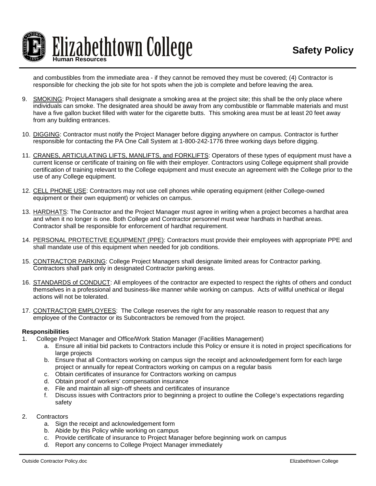

and combustibles from the immediate area - if they cannot be removed they must be covered; (4) Contractor is responsible for checking the job site for hot spots when the job is complete and before leaving the area.

- 9. SMOKING: Project Managers shall designate a smoking area at the project site; this shall be the only place where individuals can smoke. The designated area should be away from any combustible or flammable materials and must have a five gallon bucket filled with water for the cigarette butts. This smoking area must be at least 20 feet away from any building entrances.
- 10. DIGGING: Contractor must notify the Project Manager before digging anywhere on campus. Contractor is further responsible for contacting the PA One Call System at 1-800-242-1776 three working days before digging.
- 11. CRANES, ARTICULATING LIFTS, MANLIFTS, and FORKLIFTS: Operators of these types of equipment must have a current license or certificate of training on file with their employer. Contractors using College equipment shall provide certification of training relevant to the College equipment and must execute an agreement with the College prior to the use of any College equipment.
- 12. CELL PHONE USE: Contractors may not use cell phones while operating equipment (either College-owned equipment or their own equipment) or vehicles on campus.
- 13. HARDHATS: The Contractor and the Project Manager must agree in writing when a project becomes a hardhat area and when it no longer is one. Both College and Contractor personnel must wear hardhats in hardhat areas. Contractor shall be responsible for enforcement of hardhat requirement.
- 14. PERSONAL PROTECTIVE EQUIPMENT (PPE): Contractors must provide their employees with appropriate PPE and shall mandate use of this equipment when needed for job conditions.
- 15. CONTRACTOR PARKING: College Project Managers shall designate limited areas for Contractor parking. Contractors shall park only in designated Contractor parking areas.
- 16. STANDARDS of CONDUCT: All employees of the contractor are expected to respect the rights of others and conduct themselves in a professional and business-like manner while working on campus. Acts of willful unethical or illegal actions will not be tolerated.
- 17. CONTRACTOR EMPLOYEES: The College reserves the right for any reasonable reason to request that any employee of the Contractor or its Subcontractors be removed from the project.

#### **Responsibilities**

- 1. College Project Manager and Office/Work Station Manager (Facilities Management)
	- a. Ensure all initial bid packets to Contractors include this Policy or ensure it is noted in project specifications for large projects
	- b. Ensure that all Contractors working on campus sign the receipt and acknowledgement form for each large project or annually for repeat Contractors working on campus on a regular basis
	- c. Obtain certificates of insurance for Contractors working on campus
	- d. Obtain proof of workers' compensation insurance
	- e. File and maintain all sign-off sheets and certificates of insurance
	- f. Discuss issues with Contractors prior to beginning a project to outline the College's expectations regarding safety
- 2. Contractors
	- a. Sign the receipt and acknowledgement form
	- b. Abide by this Policy while working on campus
	- c. Provide certificate of insurance to Project Manager before beginning work on campus
	- d. Report any concerns to College Project Manager immediately